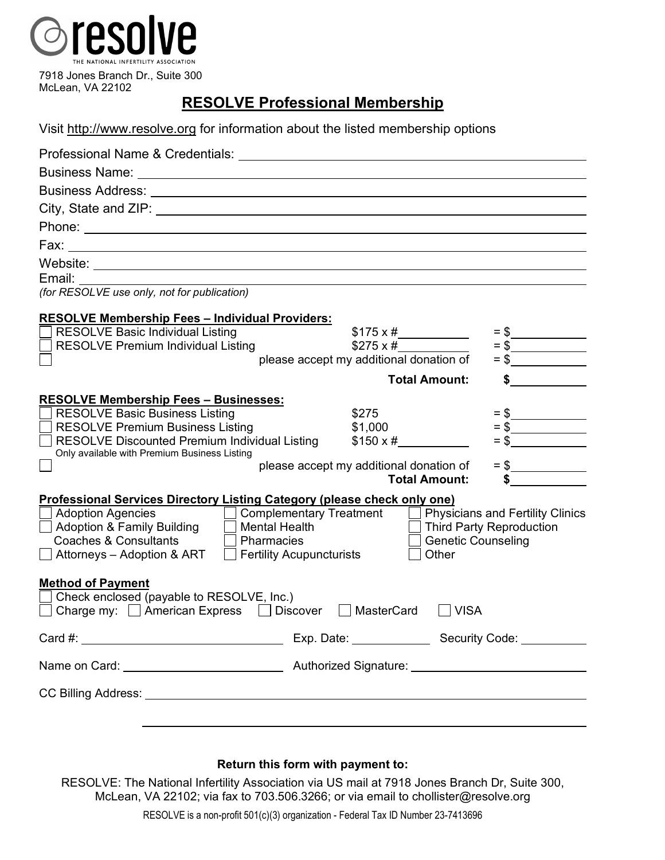

## **RESOLVE Professional Membership**

| Visit http://www.resolve.org for information about the listed membership options |  |  |  |
|----------------------------------------------------------------------------------|--|--|--|
|----------------------------------------------------------------------------------|--|--|--|

| Professional Name & Credentials: University of Professional Name & Credentials:                   |                                                             |                                         |  |  |
|---------------------------------------------------------------------------------------------------|-------------------------------------------------------------|-----------------------------------------|--|--|
|                                                                                                   |                                                             |                                         |  |  |
|                                                                                                   |                                                             |                                         |  |  |
|                                                                                                   |                                                             |                                         |  |  |
|                                                                                                   |                                                             |                                         |  |  |
|                                                                                                   |                                                             |                                         |  |  |
|                                                                                                   |                                                             |                                         |  |  |
| Email:                                                                                            |                                                             |                                         |  |  |
| (for RESOLVE use only, not for publication)                                                       |                                                             |                                         |  |  |
|                                                                                                   |                                                             |                                         |  |  |
| <b>RESOLVE Membership Fees - Individual Providers:</b><br><b>RESOLVE Basic Individual Listing</b> | $$175 \times #$                                             |                                         |  |  |
| <b>RESOLVE Premium Individual Listing</b>                                                         | $$275 \times #$                                             |                                         |  |  |
|                                                                                                   | please accept my additional donation of                     |                                         |  |  |
|                                                                                                   | <b>Total Amount:</b>                                        | $\sim$ $\sim$                           |  |  |
| <b>RESOLVE Membership Fees - Businesses:</b>                                                      |                                                             |                                         |  |  |
| <b>RESOLVE Basic Business Listing</b>                                                             | \$275                                                       |                                         |  |  |
| <b>RESOLVE Premium Business Listing</b>                                                           | \$1,000                                                     |                                         |  |  |
| <b>RESOLVE Discounted Premium Individual Listing</b>                                              | $$150 \times #$                                             |                                         |  |  |
| Only available with Premium Business Listing                                                      | please accept my additional donation of                     |                                         |  |  |
|                                                                                                   | <b>Total Amount:</b>                                        |                                         |  |  |
| Professional Services Directory Listing Category (please check only one)                          |                                                             |                                         |  |  |
| <b>Adoption Agencies</b>                                                                          | <b>Complementary Treatment</b>                              | <b>Physicians and Fertility Clinics</b> |  |  |
| <b>Adoption &amp; Family Building</b><br><b>Mental Health</b>                                     |                                                             | <b>Third Party Reproduction</b>         |  |  |
| <b>Coaches &amp; Consultants</b><br><b>Genetic Counseling</b><br>Pharmacies                       |                                                             |                                         |  |  |
| Attorneys - Adoption & ART                                                                        | $\Box$ Fertility Acupuncturists<br>Other                    |                                         |  |  |
| <b>Method of Payment</b>                                                                          |                                                             |                                         |  |  |
| Check enclosed (payable to RESOLVE, Inc.)                                                         |                                                             |                                         |  |  |
| Charge my:   American Express   Discover                                                          | MasterCard<br><b>VISA</b>                                   |                                         |  |  |
|                                                                                                   |                                                             |                                         |  |  |
|                                                                                                   |                                                             |                                         |  |  |
|                                                                                                   |                                                             |                                         |  |  |
|                                                                                                   |                                                             |                                         |  |  |
|                                                                                                   | <u> 1989 - Johann Stoff, amerikansk politiker (d. 1989)</u> |                                         |  |  |

## **Return this form with payment to:**

RESOLVE: The National Infertility Association via US mail at 7918 Jones Branch Dr, Suite 300, McLean, VA 22102; via fax to 703.506.3266; or via email to chollister@resolve.org